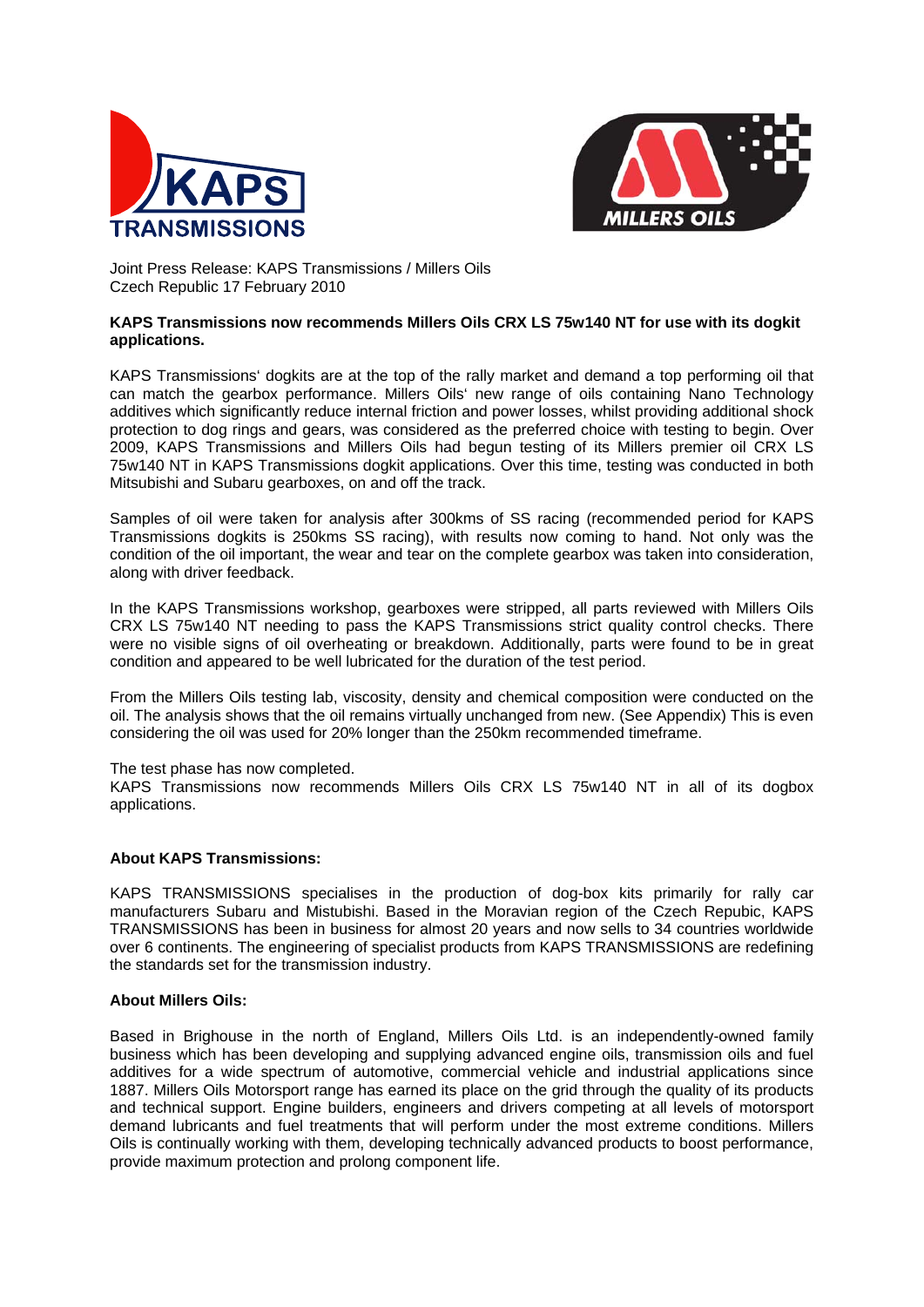



Joint Press Release: KAPS Transmissions / Millers Oils Czech Republic 17 February 2010

#### **KAPS Transmissions now recommends Millers Oils CRX LS 75w140 NT for use with its dogkit applications.**

KAPS Transmissions' dogkits are at the top of the rally market and demand a top performing oil that can match the gearbox performance. Millers Oils' new range of oils containing Nano Technology additives which significantly reduce internal friction and power losses, whilst providing additional shock protection to dog rings and gears, was considered as the preferred choice with testing to begin. Over 2009, KAPS Transmissions and Millers Oils had begun testing of its Millers premier oil CRX LS 75w140 NT in KAPS Transmissions dogkit applications. Over this time, testing was conducted in both Mitsubishi and Subaru gearboxes, on and off the track.

Samples of oil were taken for analysis after 300kms of SS racing (recommended period for KAPS Transmissions dogkits is 250kms SS racing), with results now coming to hand. Not only was the condition of the oil important, the wear and tear on the complete gearbox was taken into consideration, along with driver feedback.

In the KAPS Transmissions workshop, gearboxes were stripped, all parts reviewed with Millers Oils CRX LS 75w140 NT needing to pass the KAPS Transmissions strict quality control checks. There were no visible signs of oil overheating or breakdown. Additionally, parts were found to be in great condition and appeared to be well lubricated for the duration of the test period.

From the Millers Oils testing lab, viscosity, density and chemical composition were conducted on the oil. The analysis shows that the oil remains virtually unchanged from new. (See Appendix) This is even considering the oil was used for 20% longer than the 250km recommended timeframe.

The test phase has now completed.

KAPS Transmissions now recommends Millers Oils CRX LS 75w140 NT in all of its dogbox applications.

## **About KAPS Transmissions:**

KAPS TRANSMISSIONS specialises in the production of dog-box kits primarily for rally car manufacturers Subaru and Mistubishi. Based in the Moravian region of the Czech Repubic, KAPS TRANSMISSIONS has been in business for almost 20 years and now sells to 34 countries worldwide over 6 continents. The engineering of specialist products from KAPS TRANSMISSIONS are redefining the standards set for the transmission industry.

#### **About Millers Oils:**

Based in Brighouse in the north of England, Millers Oils Ltd. is an independently-owned family business which has been developing and supplying advanced engine oils, transmission oils and fuel additives for a wide spectrum of automotive, commercial vehicle and industrial applications since 1887. Millers Oils Motorsport range has earned its place on the grid through the quality of its products and technical support. Engine builders, engineers and drivers competing at all levels of motorsport demand lubricants and fuel treatments that will perform under the most extreme conditions. Millers Oils is continually working with them, developing technically advanced products to boost performance, provide maximum protection and prolong component life.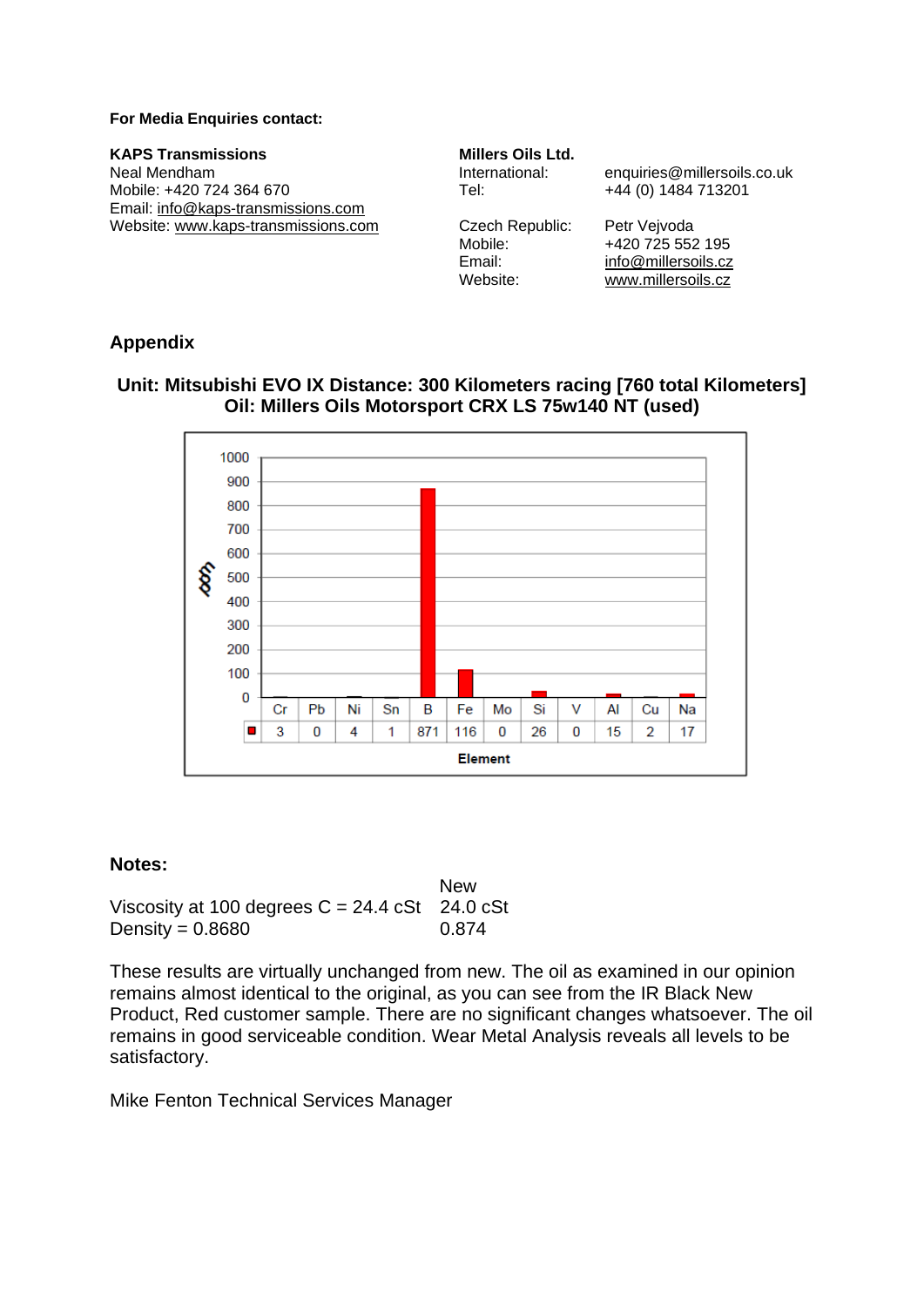### **For Media Enquiries contact:**

#### **KAPS Transmissions Millers Oils Ltd.**

Neal Mendham **International:** enquiries@millersoils.co.uk Mobile: +420 724 364 670 Tel: +44 (0) 1484 713201 Email: [info@kaps-transmissions.com](mailto:info@kaps-transmissions.com)  Website: [www.kaps-transmissions.com](http://www.kaps-transmissions.com/) Czech Republic: Petr Vejvoda

Mobile: +420 725 552 195 Email: [info@millersoils.cz](mailto:info@millersoils.cz)<br>
Website: www.millersoils.cz [www.millersoils.cz](http://www.millersoils.cz/)

# **Appendix**

# **Unit: Mitsubishi EVO IX Distance: 300 Kilometers racing [760 total Kilometers] Oil: Millers Oils Motorsport CRX LS 75w140 NT (used)**



## **Notes:**

|                                                  | <b>New</b> |
|--------------------------------------------------|------------|
| Viscosity at 100 degrees $C = 24.4$ cSt 24.0 cSt |            |
| Density = $0.8680$                               | 0.874      |

These results are virtually unchanged from new. The oil as examined in our opinion remains almost identical to the original, as you can see from the IR Black New Product, Red customer sample. There are no significant changes whatsoever. The oil remains in good serviceable condition. Wear Metal Analysis reveals all levels to be satisfactory.

Mike Fenton Technical Services Manager